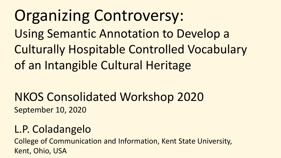# Organizing Controversy:

Using Semantic Annotation to Develop a

Culturally Hospitable Controlled Vocabulary of an Intangible Cultural Heritage

### NKOS Consolidated Workshop 2020 September 10, 2020

### L.P. Coladangelo

College of Communication and Information, Kent State University, Kent, Ohio, USA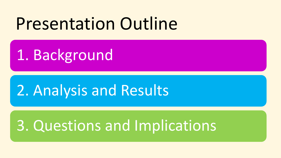# Presentation Outline

1. Background

## 2. Analysis and Results

## 3. Questions and Implications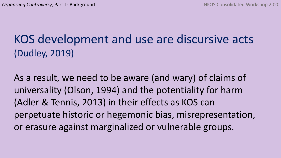### KOS development and use are discursive acts (Dudley, 2019)

As a result, we need to be aware (and wary) of claims of universality (Olson, 1994) and the potentiality for harm (Adler & Tennis, 2013) in their effects as KOS can perpetuate historic or hegemonic bias, misrepresentation, or erasure against marginalized or vulnerable groups.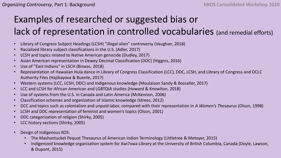### Examples of researched or suggested bias or lack of representation in controlled vocabularies (and remedial efforts)

- Library of Congress Subject Headings (LCSH) "illegal alien" controversy (Vaughan, 2018)
- Racialized library subject classifications in the U.S. (Adler, 2017)
- LCSH and topics related to Native American genocide (Dudley, 2017)
- Asian American representation in Dewey Decimal Classification (DDC) (Higgins, 2016)
- Use of "East Indians" in LSCH (Biswas, 2018)
- Representation of Hawaiian Hula dance in Library of Congress Classification (LCC), DDC, LCSH, and Library of Congress and OCLC Authority Files (Hajibayova & Buente, 2017)
- Western systems (LCC, LCSH, DDC) and Indigenous knowledge (Moulaison Sandy & Bossaller, 2017)
- LCC and LCSH for African American and LGBTQIA studies (Howard & Knowlton, 2018)
- Use of systems from the U.S. in Canada and Latin America (McKennon, 2006)
- Classification schemes and organization of Islamic knowledge (Idrees, 2012)
- DCC and topics such as colonialism and unpaid labor, compared with their representation in *A Women's Thesaurus* (Olson, 1998)
- LCSH and DDC representation of feminist and women's topics (Olson, 2001)
- DDC categorization of religion (Shirky, 2005)
- LCC history sections (Shirky, 2005)
- Design of Indigenous KOS:
	- The Mashantucket Pequot Thesaurus of American Indian Terminology (Littletree & Metoyer, 2015)
	- Indigenized knowledge organization system for Xwi7xwa Library at the University of British Columbia, Canada (Doyle, Lawson, & Dupont, 2015)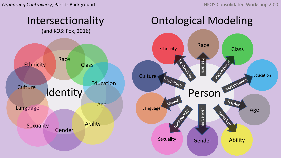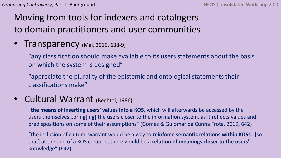#### Moving from tools for indexers and catalogers to domain practitioners and user communities

**Transparency** (Mai, 2015, 638-9)

"any classification should make available to its users statements about the basis on which the system is designed"

"appreciate the plurality of the epistemic and ontological statements their classifications make"

• Cultural Warrant (Beghtol, 1986)

"**the means of inserting users' values into a KOS**, which will afterwards be accessed by the users themselves…bring[ing] the users closer to the information system, as it reflects values and predispositions on some of their assumptions" (Gomes & Guiomar da Cunha Frota, 2019, 642)

"the inclusion of cultural warrant would be a way to **reinforce semantic relations within KOSs**…[so that] at the end of a KOS creation, there would be **a relation of meanings closer to the users' knowledge**" (642)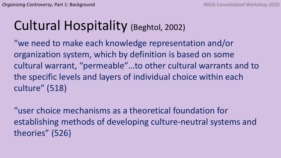## Cultural Hospitality (Beghtol, 2002)

"we need to make each knowledge representation and/or organization system, which by definition is based on some cultural warrant, "permeable"…to other cultural warrants and to the specific levels and layers of individual choice within each culture" (518)

"user choice mechanisms as a theoretical foundation for establishing methods of developing culture-neutral systems and theories" (526)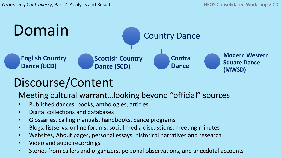

### Discourse/Content

Meeting cultural warrant…looking beyond "official" sources

- Published dances: books, anthologies, articles
- Digital collections and databases
- Glossaries, calling manuals, handbooks, dance programs
- Blogs, listservs, online forums, social media discussions, meeting minutes
- Websites, About pages, personal essays, historical narratives and research
- Video and audio recordings
- Stories from callers and organizers, personal observations, and anecdotal accounts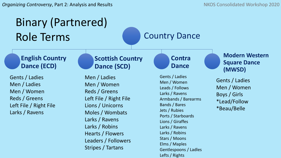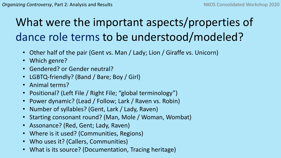## What were the important aspects/properties of dance role terms to be understood/modeled?

- Other half of the pair (Gent vs. Man / Lady; Lion / Giraffe vs. Unicorn)
- Which genre?
- Gendered? or Gender neutral?
- LGBTQ-friendly? (Band / Bare; Boy / Girl)
- Animal terms?
- Positional? (Left File / Right File; "global terminology")
- Power dynamic? (Lead / Follow; Lark / Raven vs. Robin)
- Number of syllables? (Gent, Lark / Lady, Raven)
- Starting consonant round? (Man, Mole / Woman, Wombat)
- Assonance? (Red, Gent; Lady, Raven)
- Where is it used? (Communities, Regions)
- Who uses it? (Callers, Communities)
- What is its source? (Documentation, Tracing heritage)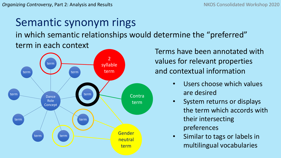# Semantic synonym rings

in which semantic relationships would determine the "preferred" term in each context



Terms have been annotated with values for relevant properties and contextual information

- Users choose which values are desired
- System returns or displays the term which accords with their intersecting preferences
- Similar to tags or labels in multilingual vocabularies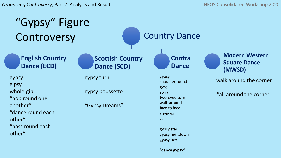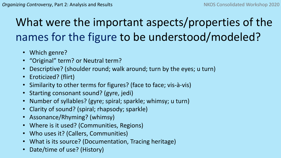### What were the important aspects/properties of the names for the figure to be understood/modeled?

- Which genre?
- "Original" term? or Neutral term?
- Descriptive? (shoulder round; walk around; turn by the eyes; u turn)
- Eroticized? (flirt)
- Similarity to other terms for figures? (face to face; vis-à-vis)
- Starting consonant sound? (gyre, jedi)
- Number of syllables? (gyre; spiral; sparkle; whimsy; u turn)
- Clarity of sound? (spiral; rhapsody; sparkle)
- Assonance/Rhyming? (whimsy)
- Where is it used? (Communities, Regions)
- Who uses it? (Callers, Communities)
- What is its source? (Documentation, Tracing heritage)
- Date/time of use? (History)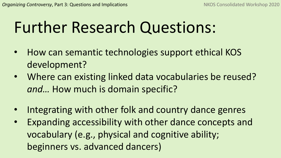# Further Research Questions:

- How can semantic technologies support ethical KOS development?
- Where can existing linked data vocabularies be reused? *and…* How much is domain specific?
- Integrating with other folk and country dance genres
- Expanding accessibility with other dance concepts and vocabulary (e.g., physical and cognitive ability; beginners vs. advanced dancers)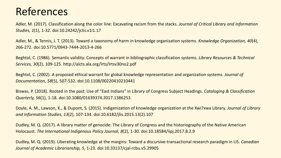### References

Adler, M. (2017). Classification along the color line: Excavating racism from the stacks. *Journal of Critical Library and Information Studies, 1*(1), 1-32. doi:10.24242/jclis.v1i1.17

Adler, M., & Tennis, J. T. (2013). Toward a taxonomy of harm in knowledge organization systems. *Knowledge Organization, 40*(4), 266-272. doi:10.5771/0943-7444-2013-4-266

Beghtol, C. (1986). Semantic validity: Concepts of warrant in bibliographic classification systems. *Library Resources & Technical Services, 30*(2), 109-125. http://alcts.ala.org/lrts/lrtsv30no2.pdf

Beghtol, C. (2002). A proposed ethical warrant for global knowledge representation and organization systems. *Journal of Documentation, 58*(5), 507-532. doi:10.1108/00220410210441

Biswas, P. (2018). Rooted in the past: Use of "East Indians" in Library of Congress Subject Headings. *Cataloging & Classification Quarterly, 56*(1), 1-18. doi:10.1080/01639374.2017.1386253

Doyle, A. M., Lawson, K., & Dupont, S. (2015). Indigenization of knowledge organization at the Xwi7xwa Library. *Journal of Library and Information Studies, 13*(2), 107-134. doi:10.6182/jlis.2015.13(2).107

Dudley, M. Q. (2017). A library matter of genocide: The Library of Congress and the historiography of the Native American Holocaust. *The International Indigenous Policy Journal, 8*(2), 1-30. doi:10.18584/iipj.2017.8.2.9

Dudley, M. Q. (2019). Liberating knowledge at the margins: Toward a discursive-transactional research paradigm in LIS. *Canadian Journal of Academic Librarianship, 5*, 1-23. doi:10.33137/cjal-rcbu.v5.29905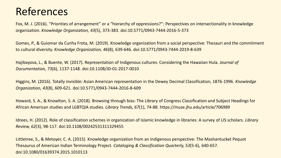### References

Fox, M. J. (2016). "Priorities of arrangement" or a "hierarchy of oppressions?": Perspectives on intersectionality in knowledge organization. *Knowledge Organization, 43*(5), 373-383. doi:10.5771/0943-7444-2016-5-373

Gomes, P., & Guiomar da Cunha Frota, M. (2019). Knowledge organization from a social perspective: Thesauri and the commitment to cultural diversity. *Knowledge Organization, 46*(8), 639-646. doi:10.5771/0943-7444-2019-8-639

Hajibayova, L., & Buente, W. (2017). Representation of Indigenous cultures: Considering the Hawaiian Hula. *Journal of Documentation, 73*(6), 1137-1148. doi:10.1108/JD-01-2017-0010

Higgins, M. (2016). Totally invisible: Asian American representation in the Dewey Decimal Classification, 1876-1996. *Knowledge Organization, 43*(8), 609-621. doi:10.5771/0943-7444-2016-8-609

Howard, S. A., & Knowlton, S. A. (2018). Browsing through bias: The Library of Congress Classification and Subject Headings for African American studies and LGBTQIA studies. *Library Trends, 67*(1), 74-88. https://muse.jhu.edu/article/706989

Idrees, H. (2012). Role of classification schemes in organization of Islamic knowledge in libraries: A survey of LIS scholars. *Library Review, 62*(3), 98-117. doi:10.1108/00242531311329455

Littletree, S., & Metoyer, C. A. (2015). Knowledge organization from an Indigenous perspective: The Mashantucket Pequot Thesaurus of American Indian Terminology Project. *Cataloging & Classification Quarterly, 53*(5-6), 640-657. doi:10.1080/01639374.2015.1010113